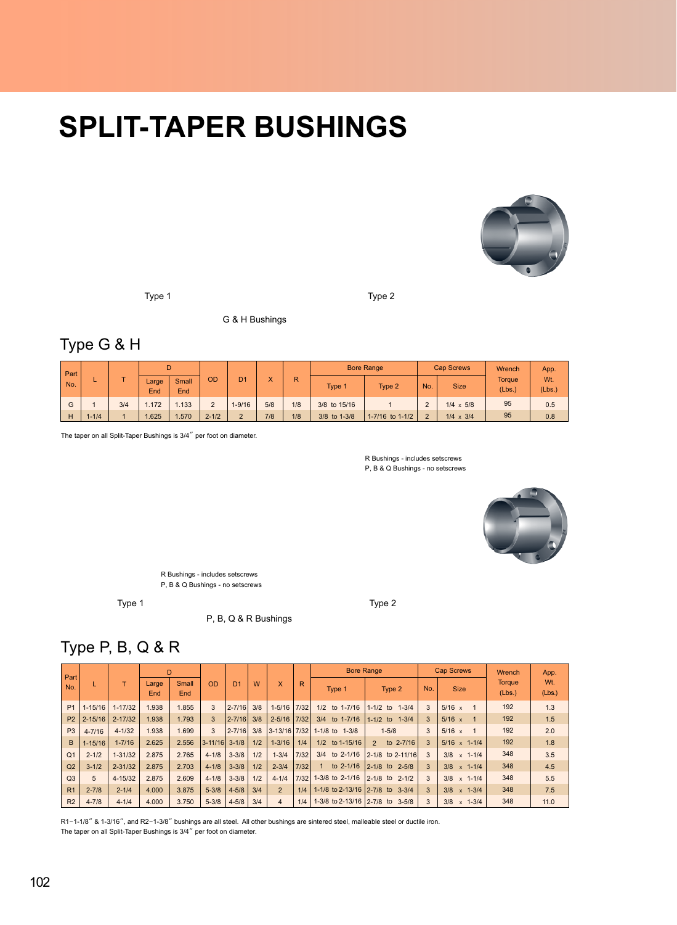## **SPLIT-TAPER BUSHINGS**



Type 1 Type 2

G & H Bushings

## Type G & H

| Part<br>No. |           |     |              | D            |                 |                |              |     |              | <b>Bore Range</b>       |               | <b>Cap Screws</b> | Wrench           | App.<br>Wt.<br>(Lbs.)<br>0.5 |
|-------------|-----------|-----|--------------|--------------|-----------------|----------------|--------------|-----|--------------|-------------------------|---------------|-------------------|------------------|------------------------------|
|             |           |     | Large<br>End | Small<br>End | OD              | D <sub>1</sub> | $\checkmark$ | R   | <b>Type</b>  | Type 2                  | No.           | <b>Size</b>       | Torque<br>(Lbs.) |                              |
| G           |           | 3/4 | 1.172        | .133         | $\sqrt{2}$<br>∠ | $1 - 9/16$     | 5/8          | 1/8 | 3/8 to 15/16 |                         | $\Omega$      | $1/4 \times 5/8$  | 95               |                              |
| H           | $1 - 1/4$ |     | 1.625        | .570         | $2 - 1/2$       | $\Omega$       | 7/8          | 1/8 | 3/8 to 1-3/8 | $1 - 7/16$ to $1 - 1/2$ | $\mathcal{D}$ | $1/4 \times 3/4$  | 95               | 0.8                          |

The taper on all Split-Taper Bushings is 3/4" per foot on diameter.

R Bushings - includes setscrews P, B & Q Bushings - no setscrews



R Bushings - includes setscrews P, B & Q Bushings - no setscrews

Type 1 Type 2

P, B, Q & R Bushings

## Type P, B, Q & R

| Part           |             |             |              | D            |             |                |     |                |        | <b>Bore Range</b>               |                            |               | <b>Cap Screws</b>            | Wrench           | App.          |
|----------------|-------------|-------------|--------------|--------------|-------------|----------------|-----|----------------|--------|---------------------------------|----------------------------|---------------|------------------------------|------------------|---------------|
| No.            |             |             | Large<br>End | Small<br>End | OD          | D <sub>1</sub> | W   | X              | R      | Type 1                          | Type 2                     | No.           | <b>Size</b>                  | Torque<br>(Lbs.) | Wt.<br>(Lbs.) |
| P <sub>1</sub> | $1 - 15/16$ | $1 - 17/32$ | 1.938        | 1.855        | 3           | $2 - 7/16$     | 3/8 | $1 - 5/16$     | 7/32   | to 1-7/16<br>1/2                | $1-1/2$ to $1-3/4$         | 3             | $5/16 \times$                | 192              | 1.3           |
| P <sub>2</sub> | $2 - 15/16$ | $2 - 17/32$ | 1.938        | 1.793        | 3           | $2 - 7/16$     | 3/8 | $2 - 5/16$     | 7/32   | 3/4 to 1-7/16                   | $1-1/2$ to $1-3/4$         | 3             | $5/16 \times$                | 192              | 1.5           |
| P <sub>3</sub> | $4 - 7/16$  | $4 - 1/32$  | 1.938        | 1.699        | 3           | $2 - 7/16$     | 3/8 | $3 - 13/16$    | 7/32   | 1-1/8 to 1-3/8                  | $1 - 5/8$                  | 3             | $5/16 \times$                | 192              | 2.0           |
| B              | $1 - 15/16$ | $1 - 7/16$  | 2.625        | 2.556        | $3 - 11/16$ | $3 - 1/8$      | 1/2 | $1 - 3/16$     | 1/4    | 1/2 to 1-15/16                  | to 2-7/16<br>$\mathcal{P}$ | $\mathcal{R}$ | $5/16 \times 1-1/4$          | 192              | 1.8           |
| Q <sub>1</sub> | $2 - 1/2$   | $1 - 31/32$ | 2.875        | 2.765        | $4 - 1/8$   | $3 - 3/8$      | 1/2 | $1 - 3/4$      | 7/32   | $3/4$ to $2-1/16$               | $2 - 1/8$ to 2-11/16       | 3             | $3/8 \times 1 - 1/4$         | 348              | 3.5           |
| Q <sub>2</sub> | $3 - 1/2$   | $2 - 31/32$ | 2.875        | 2.703        | $4 - 1/8$   | $3 - 3/8$      | 1/2 | $2 - 3/4$      | 7/32   | to 2-1/16<br>$\mathbf{1}$       | 2-1/8 to 2-5/8             | 3             | $3/8 \times 1 - 1/4$         | 348              | 4.5           |
| Q <sub>3</sub> | 5           | $4 - 15/32$ | 2.875        | 2.609        | $4 - 1/8$   | $3 - 3/8$      | 1/2 | $4 - 1/4$      | $7/32$ | 1-3/8 to 2-1/16                 | $2 - 1/8$ to $2 - 1/2$     | 3             | $3/8 \times 1 - 1/4$         | 348              | 5.5           |
| R <sub>1</sub> | $2 - 7/8$   | $2 - 1/4$   | 4.000        | 3.875        | $5 - 3/8$   | $4 - 5/8$      | 3/4 | $\overline{2}$ | 1/4    | 1-1/8 to 2-13/16 2-7/8 to 3-3/4 |                            | 3             | $3/8 \times 1 - 3/4$         | 348              | 7.5           |
| R <sub>2</sub> | $4 - 7/8$   | $4 - 1/4$   | 4.000        | 3.750        | $5 - 3/8$   | $4 - 5/8$      | 3/4 | 4              | 1/4    | 1-3/8 to 2-13/16 2-7/8 to 3-5/8 |                            | 3             | $3/8 \times 1 - \frac{3}{4}$ | 348              | 11.0          |

R1-1-1/8" & 1-3/16", and R2-1-3/8" bushings are all steel. All other bushings are sintered steel, malleable steel or ductile iron. The taper on all Split-Taper Bushings is 3/4" per foot on diameter.